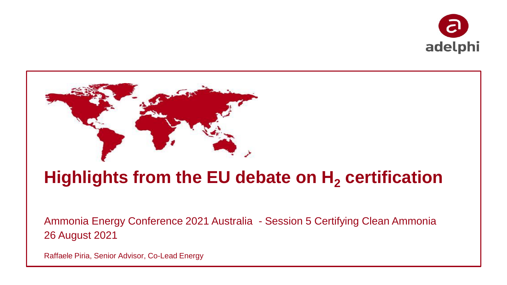



# **Highlights from the EU debate on H<sup>2</sup> certification**

Ammonia Energy Conference 2021 Australia - Session 5 Certifying Clean Ammonia 26 August 2021

Raffaele Piria, Senior Advisor, Co-Lead Energy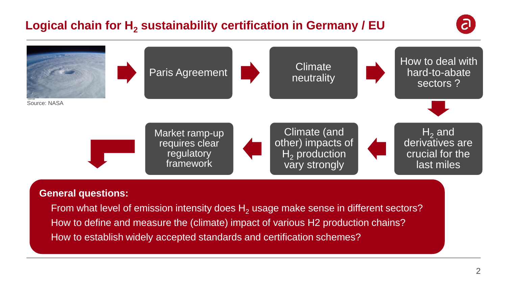# **Logical chain for H<sup>2</sup> sustainability certification in Germany / EU**





#### **General questions:**

From what level of emission intensity does  $H_2$  usage make sense in different sectors? • How to define and measure the (climate) impact of various H2 production chains? • How to establish widely accepted standards and certification schemes?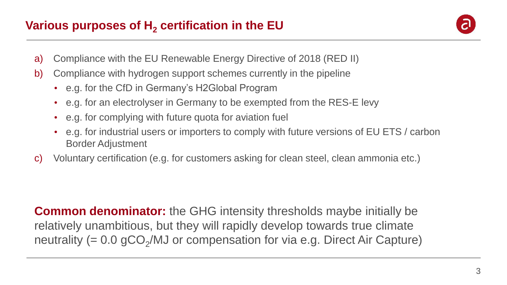

- a) Compliance with the EU Renewable Energy Directive of 2018 (RED II)
- b) Compliance with hydrogen support schemes currently in the pipeline
	- e.g. for the CfD in Germany's H2Global Program
	- e.g. for an electrolyser in Germany to be exempted from the RES-E levy
	- e.g. for complying with future quota for aviation fuel
	- e.g. for industrial users or importers to comply with future versions of EU ETS / carbon Border Adjustment
- c) Voluntary certification (e.g. for customers asking for clean steel, clean ammonia etc.)

**Common denominator:** the GHG intensity thresholds maybe initially be relatively unambitious, but they will rapidly develop towards true climate neutrality (=  $0.0$  gCO<sub>2</sub>/MJ or compensation for via e.g. Direct Air Capture)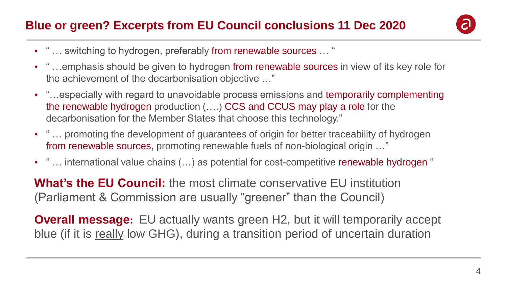### **Blue or green? Excerpts from EU Council conclusions 11 Dec 2020**



- " ... switching to hydrogen, preferably from renewable sources ... "
- " ... emphasis should be given to hydrogen from renewable sources in view of its key role for the achievement of the decarbonisation objective …"
- "…especially with regard to unavoidable process emissions and temporarily complementing the renewable hydrogen production (….) CCS and CCUS may play a role for the decarbonisation for the Member States that choose this technology."
- " ... promoting the development of quarantees of origin for better traceability of hydrogen from renewable sources, promoting renewable fuels of non-biological origin …"
- " ... international value chains (...) as potential for cost-competitive renewable hydrogen "

**What's the EU Council:** the most climate conservative EU institution (Parliament & Commission are usually "greener" than the Council)

**Overall message:** EU actually wants green H2, but it will temporarily accept blue (if it is really low GHG), during a transition period of uncertain duration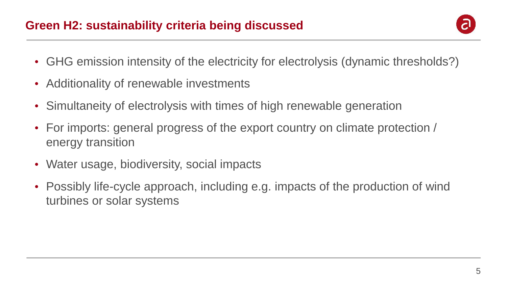#### **Green H2: sustainability criteria being discussed**



- GHG emission intensity of the electricity for electrolysis (dynamic thresholds?)
- Additionality of renewable investments
- Simultaneity of electrolysis with times of high renewable generation
- For imports: general progress of the export country on climate protection / energy transition
- Water usage, biodiversity, social impacts
- Possibly life-cycle approach, including e.g. impacts of the production of wind turbines or solar systems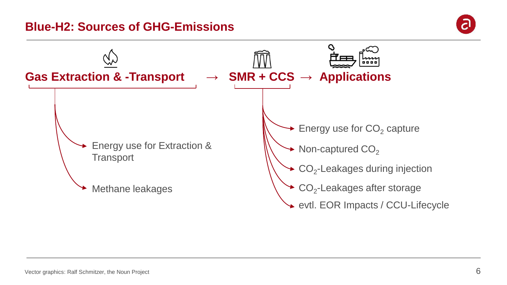#### **Blue-H2: Sources of GHG-Emissions**



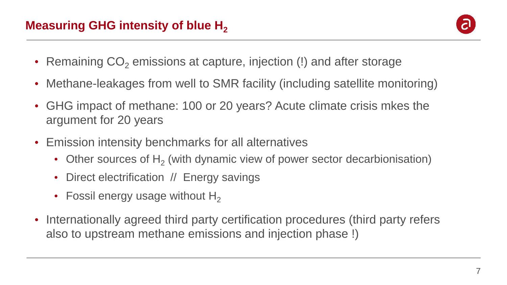

- Remaining  $CO<sub>2</sub>$  emissions at capture, injection (!) and after storage
- Methane-leakages from well to SMR facility (including satellite monitoring)
- GHG impact of methane: 100 or 20 years? Acute climate crisis mkes the argument for 20 years
- Emission intensity benchmarks for all alternatives
	- Other sources of  $H_2$  (with dynamic view of power sector decarbionisation)
	- Direct electrification // Energy savings
	- Fossil energy usage without  $H_2$
- Internationally agreed third party certification procedures (third party refers also to upstream methane emissions and injection phase !)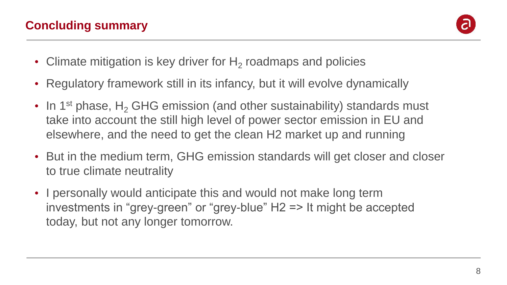

- Climate mitigation is key driver for  $H_2$  roadmaps and policies
- Regulatory framework still in its infancy, but it will evolve dynamically
- In 1<sup>st</sup> phase, H<sub>2</sub> GHG emission (and other sustainability) standards must take into account the still high level of power sector emission in EU and elsewhere, and the need to get the clean H2 market up and running
- But in the medium term, GHG emission standards will get closer and closer to true climate neutrality
- I personally would anticipate this and would not make long term investments in "grey-green" or "grey-blue" H2 => It might be accepted today, but not any longer tomorrow.